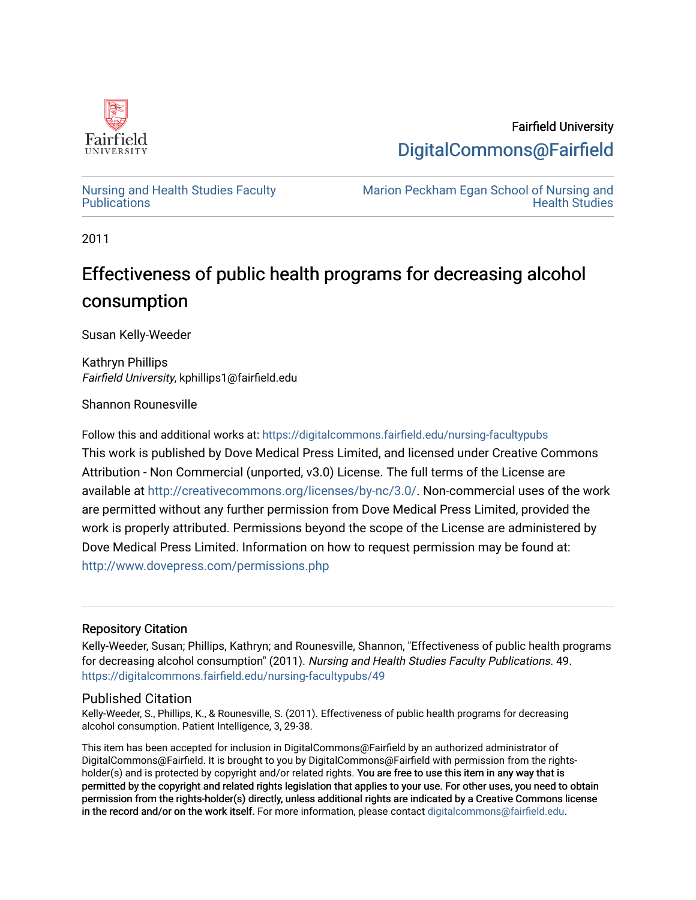

Fairfield University [DigitalCommons@Fairfield](https://digitalcommons.fairfield.edu/) 

[Nursing and Health Studies Faculty](https://digitalcommons.fairfield.edu/nursing-facultypubs) **Publications** 

[Marion Peckham Egan School of Nursing and](https://digitalcommons.fairfield.edu/schoolofnursing)  [Health Studies](https://digitalcommons.fairfield.edu/schoolofnursing) 

2011

## Effectiveness of public health programs for decreasing alcohol consumption

Susan Kelly-Weeder

Kathryn Phillips Fairfield University, kphillips1@fairfield.edu

Shannon Rounesville

Follow this and additional works at: [https://digitalcommons.fairfield.edu/nursing-facultypubs](https://digitalcommons.fairfield.edu/nursing-facultypubs?utm_source=digitalcommons.fairfield.edu%2Fnursing-facultypubs%2F49&utm_medium=PDF&utm_campaign=PDFCoverPages)  This work is published by Dove Medical Press Limited, and licensed under Creative Commons Attribution - Non Commercial (unported, v3.0) License. The full terms of the License are available at [http://creativecommons.org/licenses/by-nc/3.0/.](http://creativecommons.org/licenses/by-nc/3.0/us/) Non-commercial uses of the work are permitted without any further permission from Dove Medical Press Limited, provided the work is properly attributed. Permissions beyond the scope of the License are administered by Dove Medical Press Limited. Information on how to request permission may be found at: <http://www.dovepress.com/permissions.php>

#### Repository Citation

Kelly-Weeder, Susan; Phillips, Kathryn; and Rounesville, Shannon, "Effectiveness of public health programs for decreasing alcohol consumption" (2011). Nursing and Health Studies Faculty Publications. 49. [https://digitalcommons.fairfield.edu/nursing-facultypubs/49](https://digitalcommons.fairfield.edu/nursing-facultypubs/49?utm_source=digitalcommons.fairfield.edu%2Fnursing-facultypubs%2F49&utm_medium=PDF&utm_campaign=PDFCoverPages) 

#### Published Citation

Kelly-Weeder, S., Phillips, K., & Rounesville, S. (2011). Effectiveness of public health programs for decreasing alcohol consumption. Patient Intelligence, 3, 29-38.

This item has been accepted for inclusion in DigitalCommons@Fairfield by an authorized administrator of DigitalCommons@Fairfield. It is brought to you by DigitalCommons@Fairfield with permission from the rightsholder(s) and is protected by copyright and/or related rights. You are free to use this item in any way that is permitted by the copyright and related rights legislation that applies to your use. For other uses, you need to obtain permission from the rights-holder(s) directly, unless additional rights are indicated by a Creative Commons license in the record and/or on the work itself. For more information, please contact [digitalcommons@fairfield.edu.](mailto:digitalcommons@fairfield.edu)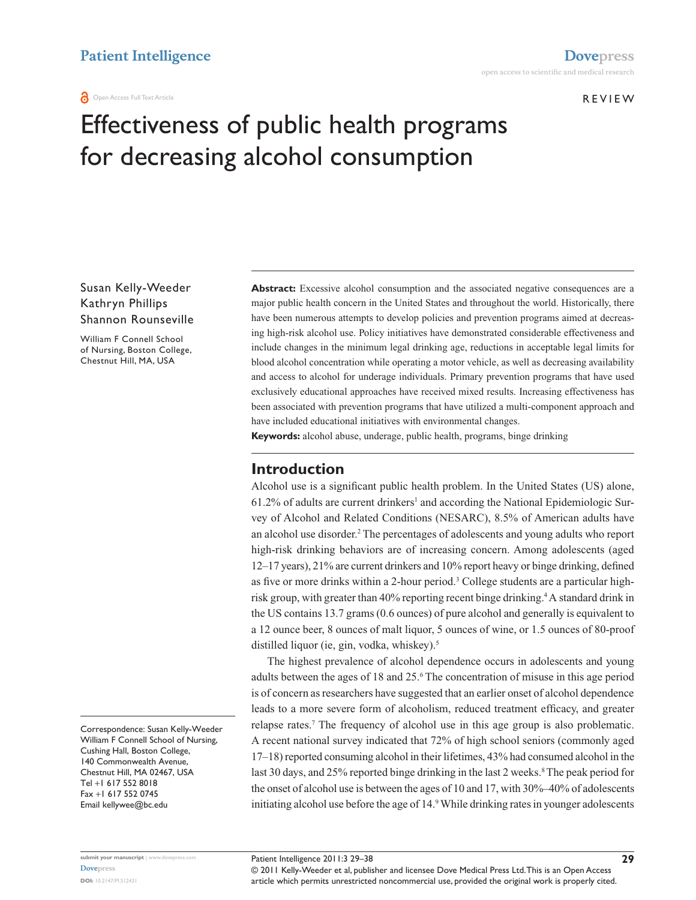#### **REVIEW**

# Effectiveness of public health programs for decreasing alcohol consumption

#### Susan Kelly-Weeder Kathryn Phillips Shannon Rounseville

William F Connell School of Nursing, Boston College, Chestnut Hill, MA, USA

Correspondence: Susan Kelly-Weeder William F Connell School of Nursing, Cushing Hall, Boston College, 140 Commonwealth Avenue, Chestnut Hill, MA 02467, USA  $Tel + 1 617 552 8018$ Fax +1 617 552 0745 Email kellywee@bc.edu

**Abstract:** Excessive alcohol consumption and the associated negative consequences are a major public health concern in the United States and throughout the world. Historically, there have been numerous attempts to develop policies and prevention programs aimed at decreasing high-risk alcohol use. Policy initiatives have demonstrated considerable effectiveness and include changes in the minimum legal drinking age, reductions in acceptable legal limits for blood alcohol concentration while operating a motor vehicle, as well as decreasing availability and access to alcohol for underage individuals. Primary prevention programs that have used exclusively educational approaches have received mixed results. Increasing effectiveness has been associated with prevention programs that have utilized a multi-component approach and have included educational initiatives with environmental changes.

**Keywords:** alcohol abuse, underage, public health, programs, binge drinking

#### **Introduction**

Alcohol use is a significant public health problem. In the United States (US) alone,  $61.2\%$  of adults are current drinkers<sup>1</sup> and according the National Epidemiologic Survey of Alcohol and Related Conditions (NESARC), 8.5% of American adults have an alcohol use disorder.<sup>2</sup> The percentages of adolescents and young adults who report high-risk drinking behaviors are of increasing concern. Among adolescents (aged 12–17 years), 21% are current drinkers and 10% report heavy or binge drinking, defined as five or more drinks within a 2-hour period.<sup>3</sup> College students are a particular highrisk group, with greater than 40% reporting recent binge drinking.<sup>4</sup> A standard drink in the US contains 13.7 grams (0.6 ounces) of pure alcohol and generally is equivalent to a 12 ounce beer, 8 ounces of malt liquor, 5 ounces of wine, or 1.5 ounces of 80-proof distilled liquor (ie, gin, vodka, whiskey).<sup>5</sup>

The highest prevalence of alcohol dependence occurs in adolescents and young adults between the ages of 18 and 25.<sup>6</sup> The concentration of misuse in this age period is of concern as researchers have suggested that an earlier onset of alcohol dependence leads to a more severe form of alcoholism, reduced treatment efficacy, and greater relapse rates.<sup>7</sup> The frequency of alcohol use in this age group is also problematic. A recent national survey indicated that 72% of high school seniors (commonly aged 17–18) reported consuming alcohol in their lifetimes, 43% had consumed alcohol in the last 30 days, and 25% reported binge drinking in the last 2 weeks.<sup>8</sup> The peak period for the onset of alcohol use is between the ages of 10 and 17, with 30%–40% of adolescents initiating alcohol use before the age of 14.<sup>9</sup> While drinking rates in younger adolescents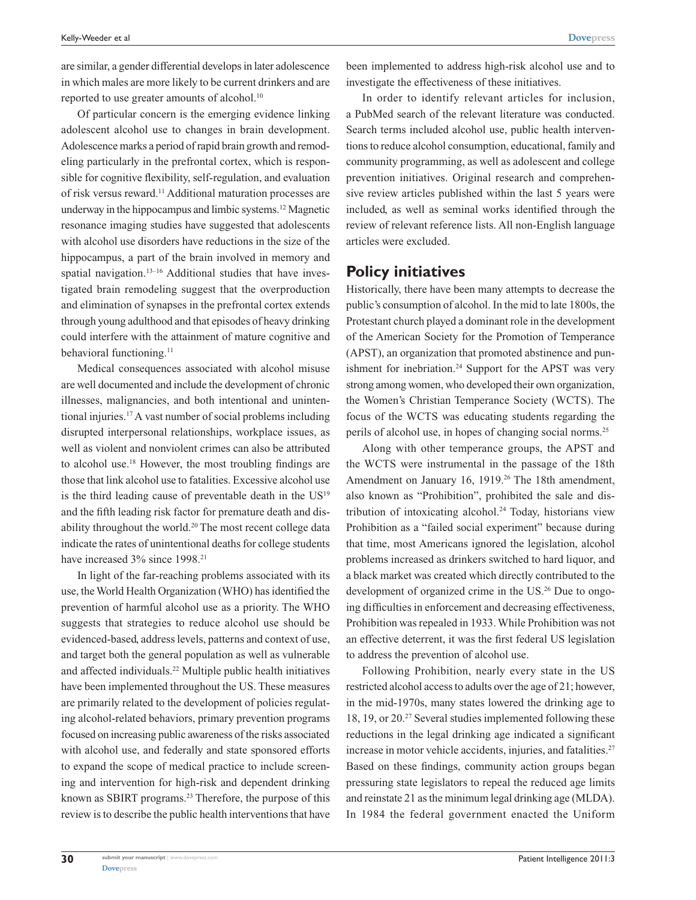are similar, a gender differential develops in later adolescence in which males are more likely to be current drinkers and are reported to use greater amounts of alcohol.<sup>10</sup>

Of particular concern is the emerging evidence linking adolescent alcohol use to changes in brain development. Adolescence marks a period of rapid brain growth and remodeling particularly in the prefrontal cortex, which is responsible for cognitive flexibility, self-regulation, and evaluation of risk versus reward.<sup>11</sup> Additional maturation processes are underway in the hippocampus and limbic systems.<sup>12</sup> Magnetic resonance imaging studies have suggested that adolescents with alcohol use disorders have reductions in the size of the hippocampus, a part of the brain involved in memory and spatial navigation.<sup>13–16</sup> Additional studies that have investigated brain remodeling suggest that the overproduction and elimination of synapses in the prefrontal cortex extends through young adulthood and that episodes of heavy drinking could interfere with the attainment of mature cognitive and behavioral functioning.<sup>11</sup>

Medical consequences associated with alcohol misuse are well documented and include the development of chronic illnesses, malignancies, and both intentional and unintentional injuries.<sup>17</sup> A vast number of social problems including disrupted interpersonal relationships, workplace issues, as well as violent and nonviolent crimes can also be attributed to alcohol use.<sup>18</sup> However, the most troubling findings are those that link alcohol use to fatalities. Excessive alcohol use is the third leading cause of preventable death in the  $US<sup>19</sup>$ and the fifth leading risk factor for premature death and disability throughout the world.<sup>20</sup> The most recent college data indicate the rates of unintentional deaths for college students have increased 3% since 1998.<sup>21</sup>

In light of the far-reaching problems associated with its use, the World Health Organization (WHO) has identified the prevention of harmful alcohol use as a priority. The WHO suggests that strategies to reduce alcohol use should be evidenced-based, address levels, patterns and context of use, and target both the general population as well as vulnerable and affected individuals.<sup>22</sup> Multiple public health initiatives have been implemented throughout the US. These measures are primarily related to the development of policies regulating alcohol-related behaviors, primary prevention programs focused on increasing public awareness of the risks associated with alcohol use, and federally and state sponsored efforts to expand the scope of medical practice to include screening and intervention for high-risk and dependent drinking known as SBIRT programs.<sup>23</sup> Therefore, the purpose of this review is to describe the public health interventions that have been implemented to address high-risk alcohol use and to investigate the effectiveness of these initiatives.

In order to identify relevant articles for inclusion, a PubMed search of the relevant literature was conducted. Search terms included alcohol use, public health interventions to reduce alcohol consumption, educational, family and community programming, as well as adolescent and college prevention initiatives. Original research and comprehensive review articles published within the last 5 years were included, as well as seminal works identified through the review of relevant reference lists. All non-English language articles were excluded.

#### **Policy initiatives**

Historically, there have been many attempts to decrease the public's consumption of alcohol. In the mid to late 1800s, the Protestant church played a dominant role in the development of the American Society for the Promotion of Temperance (APST), an organization that promoted abstinence and punishment for inebriation.<sup>24</sup> Support for the APST was very strong among women, who developed their own organization, the Women's Christian Temperance Society (WCTS). The focus of the WCTS was educating students regarding the perils of alcohol use, in hopes of changing social norms.<sup>25</sup>

Along with other temperance groups, the APST and the WCTS were instrumental in the passage of the 18th Amendment on January 16, 1919.<sup>26</sup> The 18th amendment, also known as "Prohibition", prohibited the sale and distribution of intoxicating alcohol.<sup>24</sup> Today, historians view Prohibition as a "failed social experiment" because during that time, most Americans ignored the legislation, alcohol problems increased as drinkers switched to hard liquor, and a black market was created which directly contributed to the development of organized crime in the US.<sup>26</sup> Due to ongoing difficulties in enforcement and decreasing effectiveness, Prohibition was repealed in 1933. While Prohibition was not an effective deterrent, it was the first federal US legislation to address the prevention of alcohol use.

Following Prohibition, nearly every state in the US restricted alcohol access to adults over the age of 21; however, in the mid-1970s, many states lowered the drinking age to 18, 19, or 20.<sup>27</sup> Several studies implemented following these reductions in the legal drinking age indicated a significant increase in motor vehicle accidents, injuries, and fatalities.<sup>27</sup> Based on these findings, community action groups began pressuring state legislators to repeal the reduced age limits and reinstate 21 as the minimum legal drinking age (MLDA). In 1984 the federal government enacted the Uniform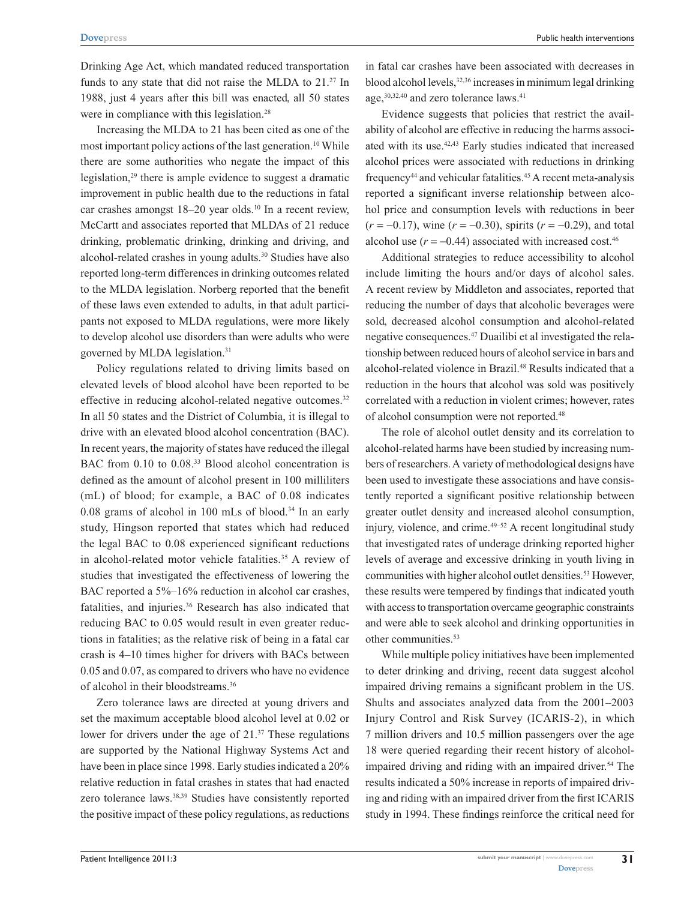Drinking Age Act, which mandated reduced transportation funds to any state that did not raise the MLDA to 21.<sup>27</sup> In 1988, just 4 years after this bill was enacted, all 50 states were in compliance with this legislation.<sup>28</sup>

Increasing the MLDA to 21 has been cited as one of the most important policy actions of the last generation.<sup>10</sup> While there are some authorities who negate the impact of this legislation,<sup>29</sup> there is ample evidence to suggest a dramatic improvement in public health due to the reductions in fatal car crashes amongst  $18-20$  year olds.<sup>10</sup> In a recent review, McCartt and associates reported that MLDAs of 21 reduce drinking, problematic drinking, drinking and driving, and alcohol-related crashes in young adults.<sup>30</sup> Studies have also reported long-term differences in drinking outcomes related to the MLDA legislation. Norberg reported that the benefit of these laws even extended to adults, in that adult participants not exposed to MLDA regulations, were more likely to develop alcohol use disorders than were adults who were governed by MLDA legislation.<sup>31</sup>

Policy regulations related to driving limits based on elevated levels of blood alcohol have been reported to be effective in reducing alcohol-related negative outcomes.<sup>32</sup> In all 50 states and the District of Columbia, it is illegal to drive with an elevated blood alcohol concentration (BAC). In recent years, the majority of states have reduced the illegal BAC from 0.10 to 0.08.<sup>33</sup> Blood alcohol concentration is defined as the amount of alcohol present in 100 milliliters (mL) of blood; for example, a BAC of 0.08 indicates 0.08 grams of alcohol in 100 mLs of blood.<sup>34</sup> In an early study, Hingson reported that states which had reduced the legal BAC to 0.08 experienced significant reductions in alcohol-related motor vehicle fatalities.<sup>35</sup> A review of studies that investigated the effectiveness of lowering the BAC reported a 5%–16% reduction in alcohol car crashes, fatalities, and injuries.<sup>36</sup> Research has also indicated that reducing BAC to 0.05 would result in even greater reductions in fatalities; as the relative risk of being in a fatal car crash is 4–10 times higher for drivers with BACs between 0.05 and 0.07, as compared to drivers who have no evidence of alcohol in their bloodstreams.<sup>36</sup>

Zero tolerance laws are directed at young drivers and set the maximum acceptable blood alcohol level at 0.02 or lower for drivers under the age of 21.<sup>37</sup> These regulations are supported by the National Highway Systems Act and have been in place since 1998. Early studies indicated a 20% relative reduction in fatal crashes in states that had enacted zero tolerance laws.<sup>38,39</sup> Studies have consistently reported the positive impact of these policy regulations, as reductions in fatal car crashes have been associated with decreases in blood alcohol levels,<sup>32,36</sup> increases in minimum legal drinking age,<sup>30,32,40</sup> and zero tolerance laws.<sup>41</sup>

Evidence suggests that policies that restrict the availability of alcohol are effective in reducing the harms associated with its use.42,43 Early studies indicated that increased alcohol prices were associated with reductions in drinking frequency<sup>44</sup> and vehicular fatalities.<sup>45</sup> A recent meta-analysis reported a significant inverse relationship between alcohol price and consumption levels with reductions in beer  $(r = -0.17)$ , wine  $(r = -0.30)$ , spirits  $(r = -0.29)$ , and total alcohol use  $(r = -0.44)$  associated with increased cost.<sup>46</sup>

Additional strategies to reduce accessibility to alcohol include limiting the hours and/or days of alcohol sales. A recent review by Middleton and associates, reported that reducing the number of days that alcoholic beverages were sold, decreased alcohol consumption and alcohol-related negative consequences.47 Duailibi et al investigated the relationship between reduced hours of alcohol service in bars and alcohol-related violence in Brazil.<sup>48</sup> Results indicated that a reduction in the hours that alcohol was sold was positively correlated with a reduction in violent crimes; however, rates of alcohol consumption were not reported.<sup>48</sup>

The role of alcohol outlet density and its correlation to alcohol-related harms have been studied by increasing numbers of researchers. A variety of methodological designs have been used to investigate these associations and have consistently reported a significant positive relationship between greater outlet density and increased alcohol consumption, injury, violence, and crime.<sup>49-52</sup> A recent longitudinal study that investigated rates of underage drinking reported higher levels of average and excessive drinking in youth living in communities with higher alcohol outlet densities.<sup>53</sup> However, these results were tempered by findings that indicated youth with access to transportation overcame geographic constraints and were able to seek alcohol and drinking opportunities in other communities.<sup>53</sup>

While multiple policy initiatives have been implemented to deter drinking and driving, recent data suggest alcohol impaired driving remains a significant problem in the US. Shults and associates analyzed data from the 2001–2003 Injury Control and Risk Survey (ICARIS-2), in which 7 million drivers and 10.5 million passengers over the age 18 were queried regarding their recent history of alcoholimpaired driving and riding with an impaired driver.<sup>54</sup> The results indicated a 50% increase in reports of impaired driving and riding with an impaired driver from the first ICARIS study in 1994. These findings reinforce the critical need for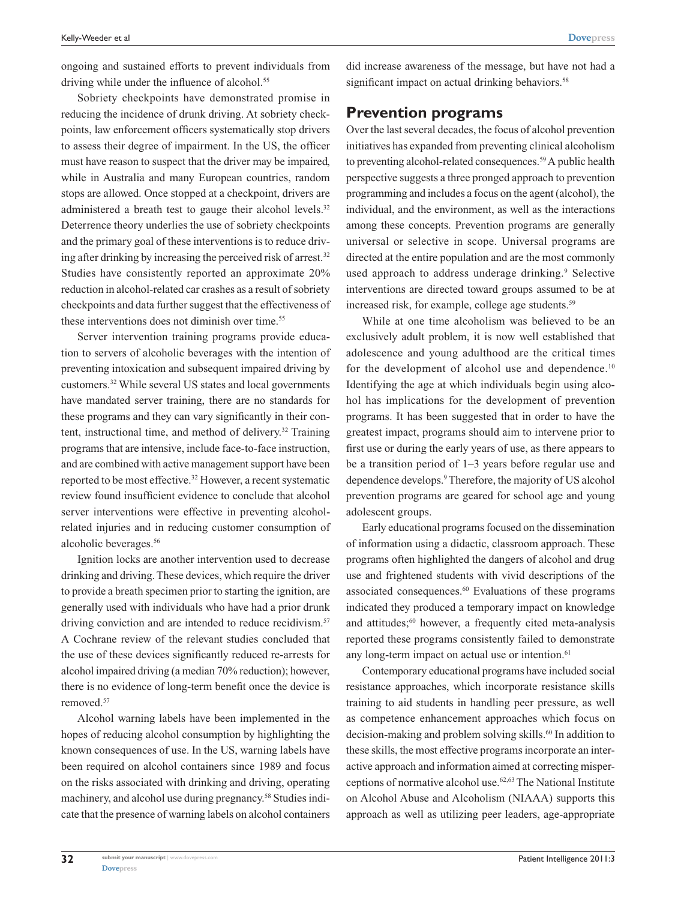ongoing and sustained efforts to prevent individuals from driving while under the influence of alcohol.<sup>55</sup>

Sobriety checkpoints have demonstrated promise in reducing the incidence of drunk driving. At sobriety checkpoints, law enforcement officers systematically stop drivers to assess their degree of impairment. In the US, the officer must have reason to suspect that the driver may be impaired, while in Australia and many European countries, random stops are allowed. Once stopped at a checkpoint, drivers are administered a breath test to gauge their alcohol levels.<sup>32</sup> Deterrence theory underlies the use of sobriety checkpoints and the primary goal of these interventions is to reduce driving after drinking by increasing the perceived risk of arrest.<sup>32</sup> Studies have consistently reported an approximate 20% reduction in alcohol-related car crashes as a result of sobriety checkpoints and data further suggest that the effectiveness of these interventions does not diminish over time.<sup>55</sup>

Server intervention training programs provide education to servers of alcoholic beverages with the intention of preventing intoxication and subsequent impaired driving by customers.<sup>32</sup> While several US states and local governments have mandated server training, there are no standards for these programs and they can vary significantly in their content, instructional time, and method of delivery.<sup>32</sup> Training programs that are intensive, include face-to-face instruction, and are combined with active management support have been reported to be most effective.<sup>32</sup> However, a recent systematic review found insufficient evidence to conclude that alcohol server interventions were effective in preventing alcoholrelated injuries and in reducing customer consumption of alcoholic beverages.<sup>56</sup>

Ignition locks are another intervention used to decrease drinking and driving. These devices, which require the driver to provide a breath specimen prior to starting the ignition, are generally used with individuals who have had a prior drunk driving conviction and are intended to reduce recidivism.<sup>57</sup> A Cochrane review of the relevant studies concluded that the use of these devices significantly reduced re-arrests for alcohol impaired driving (a median 70% reduction); however, there is no evidence of long-term benefit once the device is removed.<sup>57</sup>

Alcohol warning labels have been implemented in the hopes of reducing alcohol consumption by highlighting the known consequences of use. In the US, warning labels have been required on alcohol containers since 1989 and focus on the risks associated with drinking and driving, operating machinery, and alcohol use during pregnancy.<sup>58</sup> Studies indicate that the presence of warning labels on alcohol containers

did increase awareness of the message, but have not had a significant impact on actual drinking behaviors.<sup>58</sup>

#### **Prevention programs**

Over the last several decades, the focus of alcohol prevention initiatives has expanded from preventing clinical alcoholism to preventing alcohol-related consequences.<sup>59</sup> A public health perspective suggests a three pronged approach to prevention programming and includes a focus on the agent (alcohol), the individual, and the environment, as well as the interactions among these concepts. Prevention programs are generally universal or selective in scope. Universal programs are directed at the entire population and are the most commonly used approach to address underage drinking.<sup>9</sup> Selective interventions are directed toward groups assumed to be at increased risk, for example, college age students.<sup>59</sup>

While at one time alcoholism was believed to be an exclusively adult problem, it is now well established that adolescence and young adulthood are the critical times for the development of alcohol use and dependence.<sup>10</sup> Identifying the age at which individuals begin using alcohol has implications for the development of prevention programs. It has been suggested that in order to have the greatest impact, programs should aim to intervene prior to first use or during the early years of use, as there appears to be a transition period of 1–3 years before regular use and dependence develops.<sup>9</sup> Therefore, the majority of US alcohol prevention programs are geared for school age and young adolescent groups.

Early educational programs focused on the dissemination of information using a didactic, classroom approach. These programs often highlighted the dangers of alcohol and drug use and frightened students with vivid descriptions of the associated consequences.<sup>60</sup> Evaluations of these programs indicated they produced a temporary impact on knowledge and attitudes; $60$  however, a frequently cited meta-analysis reported these programs consistently failed to demonstrate any long-term impact on actual use or intention.<sup>61</sup>

Contemporary educational programs have included social resistance approaches, which incorporate resistance skills training to aid students in handling peer pressure, as well as competence enhancement approaches which focus on decision-making and problem solving skills.<sup>60</sup> In addition to these skills, the most effective programs incorporate an interactive approach and information aimed at correcting misperceptions of normative alcohol use.62,63 The National Institute on Alcohol Abuse and Alcoholism (NIAAA) supports this approach as well as utilizing peer leaders, age-appropriate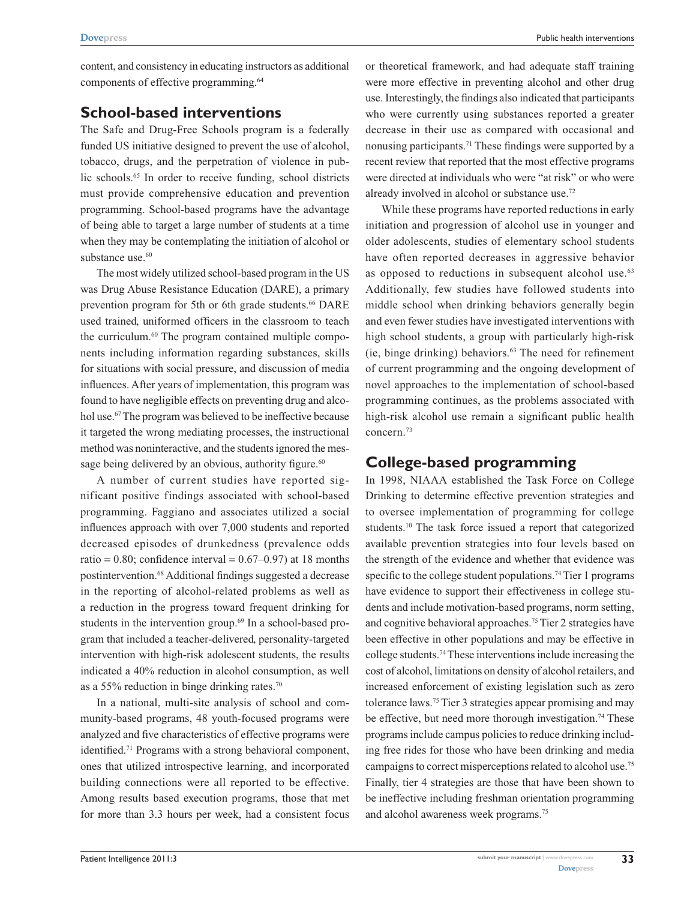content, and consistency in educating instructors as additional components of effective programming.<sup>64</sup>

#### **School-based interventions**

The Safe and Drug-Free Schools program is a federally funded US initiative designed to prevent the use of alcohol, tobacco, drugs, and the perpetration of violence in public schools.<sup>65</sup> In order to receive funding, school districts must provide comprehensive education and prevention programming. School-based programs have the advantage of being able to target a large number of students at a time when they may be contemplating the initiation of alcohol or substance use.<sup>60</sup>

The most widely utilized school-based program in the US was Drug Abuse Resistance Education (DARE), a primary prevention program for 5th or 6th grade students.<sup>66</sup> DARE used trained, uniformed officers in the classroom to teach the curriculum.<sup>60</sup> The program contained multiple components including information regarding substances, skills for situations with social pressure, and discussion of media influences. After years of implementation, this program was found to have negligible effects on preventing drug and alcohol use.<sup>67</sup> The program was believed to be ineffective because it targeted the wrong mediating processes, the instructional method was noninteractive, and the students ignored the message being delivered by an obvious, authority figure.<sup>60</sup>

A number of current studies have reported significant positive findings associated with school-based programming. Faggiano and associates utilized a social influences approach with over 7,000 students and reported decreased episodes of drunkedness (prevalence odds ratio = 0.80; confidence interval =  $0.67-0.97$ ) at 18 months postintervention.<sup>68</sup> Additional findings suggested a decrease in the reporting of alcohol-related problems as well as a reduction in the progress toward frequent drinking for students in the intervention group.<sup>69</sup> In a school-based program that included a teacher-delivered, personality-targeted intervention with high-risk adolescent students, the results indicated a 40% reduction in alcohol consumption, as well as a 55% reduction in binge drinking rates.<sup>70</sup>

In a national, multi-site analysis of school and community-based programs, 48 youth-focused programs were analyzed and five characteristics of effective programs were identified.<sup>71</sup> Programs with a strong behavioral component, ones that utilized introspective learning, and incorporated building connections were all reported to be effective. Among results based execution programs, those that met for more than 3.3 hours per week, had a consistent focus or theoretical framework, and had adequate staff training were more effective in preventing alcohol and other drug use. Interestingly, the findings also indicated that participants who were currently using substances reported a greater decrease in their use as compared with occasional and nonusing participants.<sup>71</sup> These findings were supported by a recent review that reported that the most effective programs were directed at individuals who were "at risk" or who were already involved in alcohol or substance use.<sup>72</sup>

While these programs have reported reductions in early initiation and progression of alcohol use in younger and older adolescents, studies of elementary school students have often reported decreases in aggressive behavior as opposed to reductions in subsequent alcohol use.<sup>63</sup> Additionally, few studies have followed students into middle school when drinking behaviors generally begin and even fewer studies have investigated interventions with high school students, a group with particularly high-risk (ie, binge drinking) behaviors.<sup>63</sup> The need for refinement of current programming and the ongoing development of novel approaches to the implementation of school-based programming continues, as the problems associated with high-risk alcohol use remain a significant public health concern.<sup>73</sup>

## **College-based programming**

In 1998, NIAAA established the Task Force on College Drinking to determine effective prevention strategies and to oversee implementation of programming for college students.<sup>10</sup> The task force issued a report that categorized available prevention strategies into four levels based on the strength of the evidence and whether that evidence was specific to the college student populations.<sup>74</sup> Tier 1 programs have evidence to support their effectiveness in college students and include motivation-based programs, norm setting, and cognitive behavioral approaches.<sup>75</sup> Tier 2 strategies have been effective in other populations and may be effective in college students.<sup>74</sup> These interventions include increasing the cost of alcohol, limitations on density of alcohol retailers, and increased enforcement of existing legislation such as zero tolerance laws.<sup>75</sup> Tier 3 strategies appear promising and may be effective, but need more thorough investigation.<sup>74</sup> These programs include campus policies to reduce drinking including free rides for those who have been drinking and media campaigns to correct misperceptions related to alcohol use.<sup>75</sup> Finally, tier 4 strategies are those that have been shown to be ineffective including freshman orientation programming and alcohol awareness week programs.75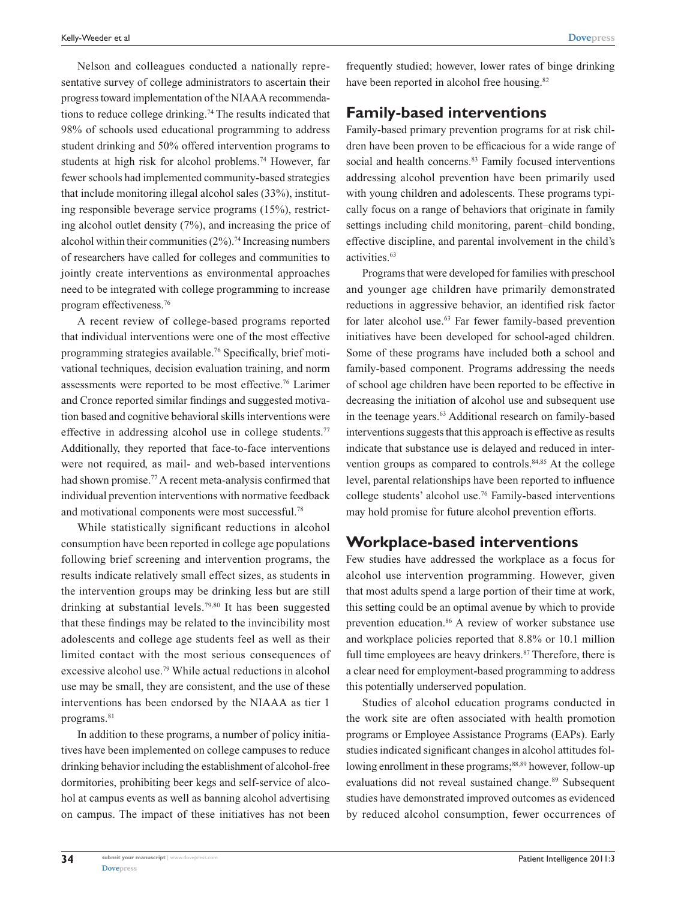Nelson and colleagues conducted a nationally representative survey of college administrators to ascertain their progress toward implementation of the NIAAA recommendations to reduce college drinking.<sup>74</sup> The results indicated that 98% of schools used educational programming to address student drinking and 50% offered intervention programs to students at high risk for alcohol problems.<sup>74</sup> However, far fewer schools had implemented community-based strategies that include monitoring illegal alcohol sales (33%), instituting responsible beverage service programs (15%), restricting alcohol outlet density (7%), and increasing the price of alcohol within their communities  $(2\%)$ .<sup>74</sup> Increasing numbers of researchers have called for colleges and communities to jointly create interventions as environmental approaches need to be integrated with college programming to increase program effectiveness.<sup>76</sup>

A recent review of college-based programs reported that individual interventions were one of the most effective programming strategies available.76 Specifically, brief motivational techniques, decision evaluation training, and norm assessments were reported to be most effective.<sup>76</sup> Larimer and Cronce reported similar findings and suggested motivation based and cognitive behavioral skills interventions were effective in addressing alcohol use in college students.<sup>77</sup> Additionally, they reported that face-to-face interventions were not required, as mail- and web-based interventions had shown promise.<sup>77</sup> A recent meta-analysis confirmed that individual prevention interventions with normative feedback and motivational components were most successful.<sup>78</sup>

While statistically significant reductions in alcohol consumption have been reported in college age populations following brief screening and intervention programs, the results indicate relatively small effect sizes, as students in the intervention groups may be drinking less but are still drinking at substantial levels.79,80 It has been suggested that these findings may be related to the invincibility most adolescents and college age students feel as well as their limited contact with the most serious consequences of excessive alcohol use.<sup>79</sup> While actual reductions in alcohol use may be small, they are consistent, and the use of these interventions has been endorsed by the NIAAA as tier 1 programs.<sup>81</sup>

In addition to these programs, a number of policy initiatives have been implemented on college campuses to reduce drinking behavior including the establishment of alcohol-free dormitories, prohibiting beer kegs and self-service of alcohol at campus events as well as banning alcohol advertising on campus. The impact of these initiatives has not been

frequently studied; however, lower rates of binge drinking have been reported in alcohol free housing.<sup>82</sup>

#### **Family-based interventions**

Family-based primary prevention programs for at risk children have been proven to be efficacious for a wide range of social and health concerns.<sup>83</sup> Family focused interventions addressing alcohol prevention have been primarily used with young children and adolescents. These programs typically focus on a range of behaviors that originate in family settings including child monitoring, parent–child bonding, effective discipline, and parental involvement in the child's activities.<sup>63</sup>

Programs that were developed for families with preschool and younger age children have primarily demonstrated reductions in aggressive behavior, an identified risk factor for later alcohol use.<sup>63</sup> Far fewer family-based prevention initiatives have been developed for school-aged children. Some of these programs have included both a school and family-based component. Programs addressing the needs of school age children have been reported to be effective in decreasing the initiation of alcohol use and subsequent use in the teenage years.<sup>63</sup> Additional research on family-based interventions suggests that this approach is effective as results indicate that substance use is delayed and reduced in intervention groups as compared to controls.<sup>84,85</sup> At the college level, parental relationships have been reported to influence college students' alcohol use.<sup>76</sup> Family-based interventions may hold promise for future alcohol prevention efforts.

## **Workplace-based interventions**

Few studies have addressed the workplace as a focus for alcohol use intervention programming. However, given that most adults spend a large portion of their time at work, this setting could be an optimal avenue by which to provide prevention education.<sup>86</sup> A review of worker substance use and workplace policies reported that 8.8% or 10.1 million full time employees are heavy drinkers.<sup>87</sup> Therefore, there is a clear need for employment-based programming to address this potentially underserved population.

Studies of alcohol education programs conducted in the work site are often associated with health promotion programs or Employee Assistance Programs (EAPs). Early studies indicated significant changes in alcohol attitudes following enrollment in these programs;<sup>88,89</sup> however, follow-up evaluations did not reveal sustained change.<sup>89</sup> Subsequent studies have demonstrated improved outcomes as evidenced by reduced alcohol consumption, fewer occurrences of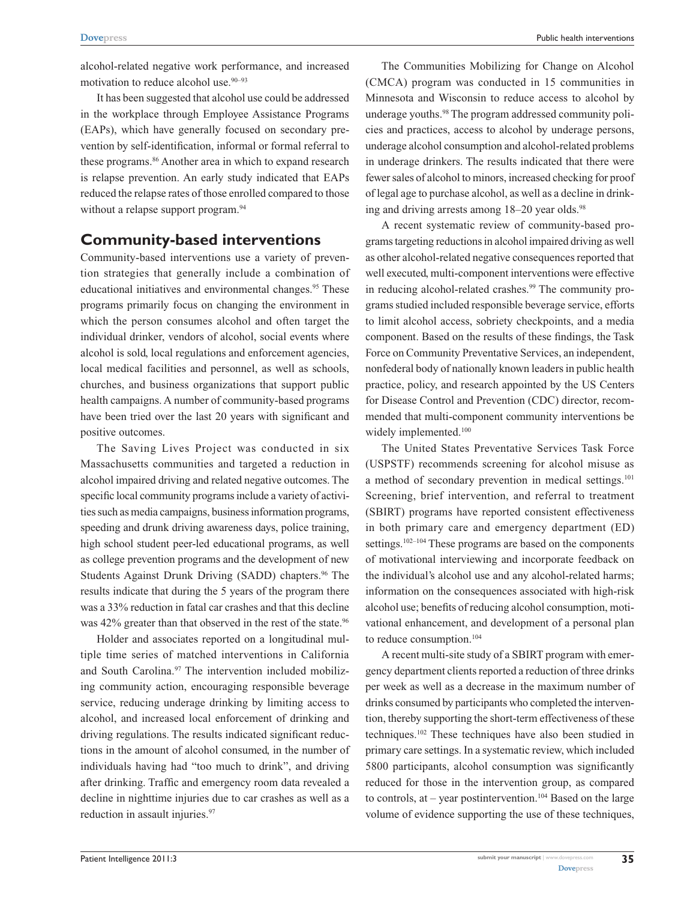alcohol-related negative work performance, and increased motivation to reduce alcohol use.<sup>90-93</sup>

It has been suggested that alcohol use could be addressed in the workplace through Employee Assistance Programs (EAPs), which have generally focused on secondary prevention by self-identification, informal or formal referral to these programs.<sup>86</sup> Another area in which to expand research is relapse prevention. An early study indicated that EAPs reduced the relapse rates of those enrolled compared to those without a relapse support program.<sup>94</sup>

#### **Community-based interventions**

Community-based interventions use a variety of prevention strategies that generally include a combination of educational initiatives and environmental changes.<sup>95</sup> These programs primarily focus on changing the environment in which the person consumes alcohol and often target the individual drinker, vendors of alcohol, social events where alcohol is sold, local regulations and enforcement agencies, local medical facilities and personnel, as well as schools, churches, and business organizations that support public health campaigns. A number of community-based programs have been tried over the last 20 years with significant and positive outcomes.

The Saving Lives Project was conducted in six Massachusetts communities and targeted a reduction in alcohol impaired driving and related negative outcomes. The specific local community programs include a variety of activities such as media campaigns, business information programs, speeding and drunk driving awareness days, police training, high school student peer-led educational programs, as well as college prevention programs and the development of new Students Against Drunk Driving (SADD) chapters.<sup>96</sup> The results indicate that during the 5 years of the program there was a 33% reduction in fatal car crashes and that this decline was 42% greater than that observed in the rest of the state.<sup>96</sup>

Holder and associates reported on a longitudinal multiple time series of matched interventions in California and South Carolina.<sup>97</sup> The intervention included mobilizing community action, encouraging responsible beverage service, reducing underage drinking by limiting access to alcohol, and increased local enforcement of drinking and driving regulations. The results indicated significant reductions in the amount of alcohol consumed, in the number of individuals having had "too much to drink", and driving after drinking. Traffic and emergency room data revealed a decline in nighttime injuries due to car crashes as well as a reduction in assault injuries.<sup>97</sup>

The Communities Mobilizing for Change on Alcohol (CMCA) program was conducted in 15 communities in Minnesota and Wisconsin to reduce access to alcohol by underage youths.<sup>98</sup> The program addressed community policies and practices, access to alcohol by underage persons, underage alcohol consumption and alcohol-related problems in underage drinkers. The results indicated that there were fewer sales of alcohol to minors, increased checking for proof of legal age to purchase alcohol, as well as a decline in drinking and driving arrests among  $18-20$  year olds.<sup>98</sup>

A recent systematic review of community-based programs targeting reductions in alcohol impaired driving as well as other alcohol-related negative consequences reported that well executed, multi-component interventions were effective in reducing alcohol-related crashes.<sup>99</sup> The community programs studied included responsible beverage service, efforts to limit alcohol access, sobriety checkpoints, and a media component. Based on the results of these findings, the Task Force on Community Preventative Services, an independent, nonfederal body of nationally known leaders in public health practice, policy, and research appointed by the US Centers for Disease Control and Prevention (CDC) director, recommended that multi-component community interventions be widely implemented.<sup>100</sup>

The United States Preventative Services Task Force (USPSTF) recommends screening for alcohol misuse as a method of secondary prevention in medical settings.<sup>101</sup> Screening, brief intervention, and referral to treatment (SBIRT) programs have reported consistent effectiveness in both primary care and emergency department (ED) settings.<sup>102–104</sup> These programs are based on the components of motivational interviewing and incorporate feedback on the individual's alcohol use and any alcohol-related harms; information on the consequences associated with high-risk alcohol use; benefits of reducing alcohol consumption, motivational enhancement, and development of a personal plan to reduce consumption.<sup>104</sup>

A recent multi-site study of a SBIRT program with emergency department clients reported a reduction of three drinks per week as well as a decrease in the maximum number of drinks consumed by participants who completed the intervention, thereby supporting the short-term effectiveness of these techniques.<sup>102</sup> These techniques have also been studied in primary care settings. In a systematic review, which included 5800 participants, alcohol consumption was significantly reduced for those in the intervention group, as compared to controls, at – year postintervention.<sup>104</sup> Based on the large volume of evidence supporting the use of these techniques,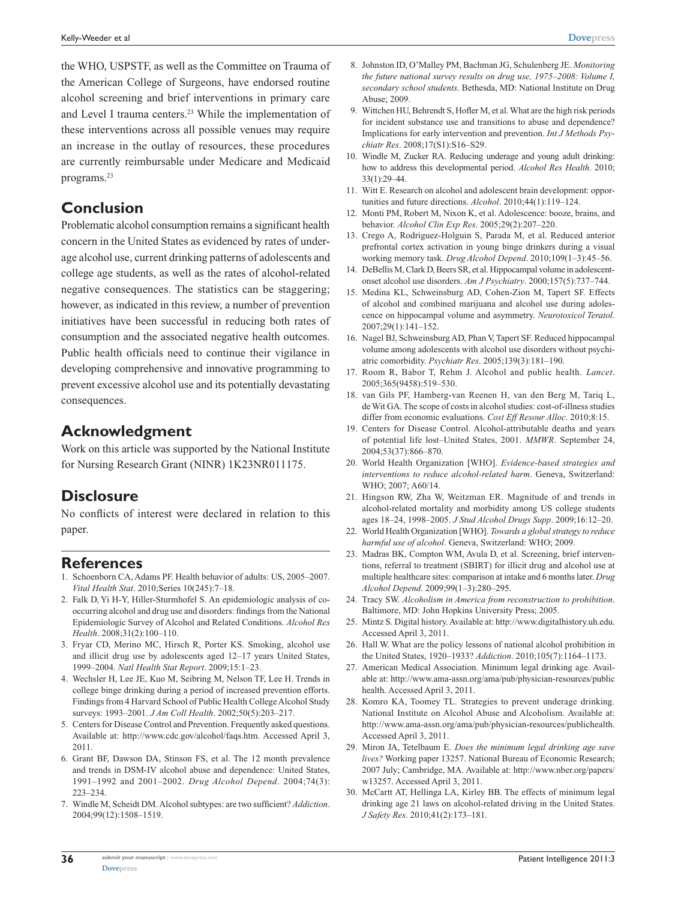the WHO, USPSTF, as well as the Committee on Trauma of the American College of Surgeons, have endorsed routine alcohol screening and brief interventions in primary care and Level I trauma centers.<sup>23</sup> While the implementation of these interventions across all possible venues may require an increase in the outlay of resources, these procedures are currently reimbursable under Medicare and Medicaid programs.<sup>23</sup>

## **Conclusion**

Problematic alcohol consumption remains a significant health concern in the United States as evidenced by rates of underage alcohol use, current drinking patterns of adolescents and college age students, as well as the rates of alcohol-related negative consequences. The statistics can be staggering; however, as indicated in this review, a number of prevention initiatives have been successful in reducing both rates of consumption and the associated negative health outcomes. Public health officials need to continue their vigilance in developing comprehensive and innovative programming to prevent excessive alcohol use and its potentially devastating consequences.

#### **Acknowledgment**

Work on this article was supported by the National Institute for Nursing Research Grant (NINR) 1K23NR011175.

## **Disclosure**

No conflicts of interest were declared in relation to this paper.

#### **References**

- 1. Schoenborn CA, Adams PF. Health behavior of adults: US, 2005–2007. *Vital Health Stat*. 2010;Series 10(245):7–18.
- 2. Falk D, Yi H-Y, Hiller-Sturmhofel S. An epidemiologic analysis of cooccurring alcohol and drug use and disorders: findings from the National Epidemiologic Survey of Alcohol and Related Conditions. *Alcohol Res Health*. 2008;31(2):100–110.
- 3. Fryar CD, Merino MC, Hirsch R, Porter KS. Smoking, alcohol use and illicit drug use by adolescents aged 12–17 years United States, 1999–2004. *Natl Health Stat Report*. 2009;15:1–23.
- 4. Wechsler H, Lee JE, Kuo M, Seibring M, Nelson TF, Lee H. Trends in college binge drinking during a period of increased prevention efforts. Findings from 4 Harvard School of Public Health College Alcohol Study surveys: 1993–2001. *J Am Coll Health*. 2002;50(5):203–217.
- 5. Centers for Disease Control and Prevention. Frequently asked questions. Available at: http://www.cdc.gov/alcohol/faqs.htm. Accessed April 3, 2011.
- 6. Grant BF, Dawson DA, Stinson FS, et al. The 12 month prevalence and trends in DSM-IV alcohol abuse and dependence: United States, 1991–1992 and 2001–2002. *Drug Alcohol Depend*. 2004;74(3): 223–234.
- 7. Windle M, Scheidt DM. Alcohol subtypes: are two sufficient? *Addiction*. 2004;99(12):1508–1519.
- 8. Johnston ID, O'Malley PM, Bachman JG, Schulenberg JE. *Monitoring the future national survey results on drug use, 1975–2008: Volume I, secondary school students*. Bethesda, MD: National Institute on Drug Abuse; 2009.
- 9. Wittchen HU, Behrendt S, Hofler M, et al. What are the high risk periods for incident substance use and transitions to abuse and dependence? Implications for early intervention and prevention. *Int J Methods Psychiatr Res*. 2008;17(S1):S16–S29.
- 10. Windle M, Zucker RA. Reducing underage and young adult drinking: how to address this developmental period. *Alcohol Res Health*. 2010; 33(1):29–44.
- 11. Witt E. Research on alcohol and adolescent brain development: opportunities and future directions. *Alcohol*. 2010;44(1):119–124.
- 12. Monti PM, Robert M, Nixon K, et al. Adolescence: booze, brains, and behavior. *Alcohol Clin Exp Res*. 2005;29(2):207–220.
- 13. Crego A, Rodriguez-Holguin S, Parada M, et al. Reduced anterior prefrontal cortex activation in young binge drinkers during a visual working memory task. *Drug Alcohol Depend*. 2010;109(1–3):45–56.
- 14. DeBellis M, Clark D, Beers SR, et al. Hippocampal volume in adolescentonset alcohol use disorders. *Am J Psychiatry*. 2000;157(5):737–744.
- 15. Medina KL, Schweinsburg AD, Cohen-Zion M, Tapert SF. Effects of alcohol and combined marijuana and alcohol use during adolescence on hippocampal volume and asymmetry. *Neurotoxicol Teratol*. 2007;29(1):141–152.
- 16. Nagel BJ, Schweinsburg AD, Phan V, Tapert SF. Reduced hippocampal volume among adolescents with alcohol use disorders without psychiatric comorbidity. *Psychiatr Res*. 2005;139(3):181–190.
- 17. Room R, Babor T, Rehm J. Alcohol and public health. *Lancet*. 2005;365(9458):519–530.
- 18. van Gils PF, Hamberg-van Reenen H, van den Berg M, Tariq L, de Wit GA. The scope of costs in alcohol studies: cost-of-illness studies differ from economic evaluations. *Cost Eff Resour Alloc*. 2010;8:15.
- 19. Centers for Disease Control. Alcohol-attributable deaths and years of potential life lost–United States, 2001. *MMWR*. September 24, 2004;53(37):866–870.
- 20. World Health Organization [WHO]. *Evidence-based strategies and interventions to reduce alcohol-related harm*. Geneva, Switzerland: WHO; 2007; A60/14.
- 21. Hingson RW, Zha W, Weitzman ER. Magnitude of and trends in alcohol-related mortality and morbidity among US college students ages 18–24, 1998–2005. *J Stud Alcohol Drugs Supp*. 2009;16:12–20.
- 22. World Health Organization [WHO]. *Towards a global strategy to reduce harmful use of alcohol*. Geneva, Switzerland: WHO; 2009.
- 23. Madras BK, Compton WM, Avula D, et al. Screening, brief interventions, referral to treatment (SBIRT) for illicit drug and alcohol use at multiple healthcare sites: comparison at intake and 6 months later. *Drug Alcohol Depend*. 2009;99(1–3):280–295.
- 24. Tracy SW. *Alcoholism in America from reconstruction to prohibition*. Baltimore, MD: John Hopkins University Press; 2005.
- 25. Mintz S. Digital history. Available at: http://www.digitalhistory.uh.edu. Accessed April 3, 2011.
- 26. Hall W. What are the policy lessons of national alcohol prohibition in the United States, 1920–1933? *Addiction*. 2010;105(7):1164–1173.
- 27. American Medical Association. Minimum legal drinking age. Available at: http://www.ama-assn.org/ama/pub/physician-resources/public health. Accessed April 3, 2011.
- 28. Komro KA, Toomey TL. Strategies to prevent underage drinking. National Institute on Alcohol Abuse and Alcoholism. Available at: http://www.ama-assn.org/ama/pub/physician-resources/publichealth. Accessed April 3, 2011.
- 29. Miron JA, Tetelbaum E. *Does the minimum legal drinking age save lives?* Working paper 13257. National Bureau of Economic Research; 2007 July; Cambridge, MA. Available at: http://www.nber.org/papers/ w13257. Accessed April 3, 2011.
- 30. McCartt AT, Hellinga LA, Kirley BB. The effects of minimum legal drinking age 21 laws on alcohol-related driving in the United States. *J Safety Res*. 2010;41(2):173–181.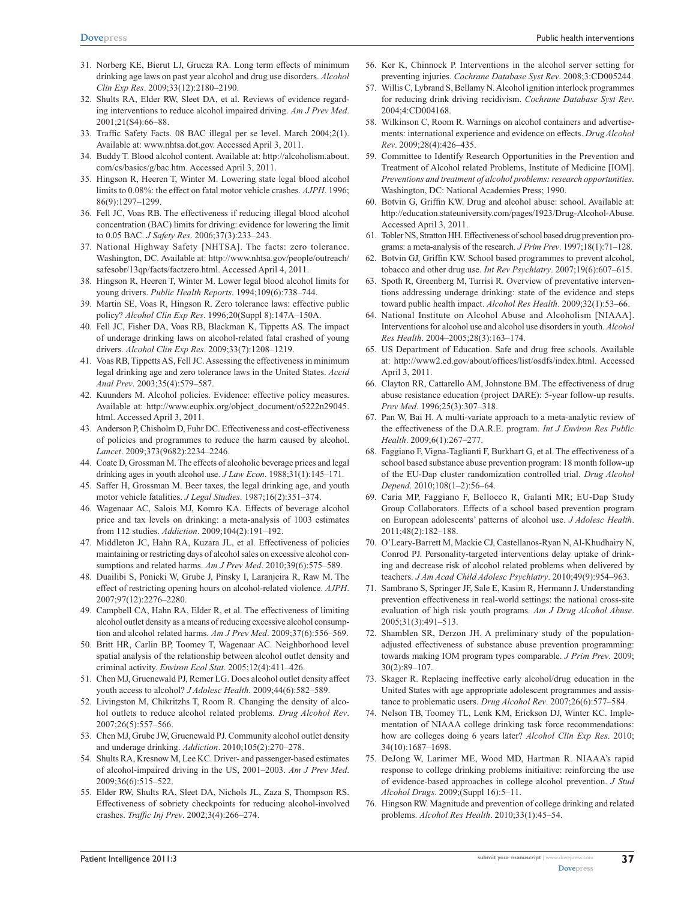- 31. Norberg KE, Bierut LJ, Grucza RA. Long term effects of minimum drinking age laws on past year alcohol and drug use disorders. *Alcohol Clin Exp Res*. 2009;33(12):2180–2190.
- 32. Shults RA, Elder RW, Sleet DA, et al. Reviews of evidence regarding interventions to reduce alcohol impaired driving. *Am J Prev Med*. 2001;21(S4):66–88.
- 33. Traffic Safety Facts. 08 BAC illegal per se level. March 2004;2(1). Available at: www.nhtsa.dot.gov. Accessed April 3, 2011.
- 34. Buddy T. Blood alcohol content. Available at: http://alcoholism.about. com/cs/basics/g/bac.htm. Accessed April 3, 2011.
- 35. Hingson R, Heeren T, Winter M. Lowering state legal blood alcohol limits to 0.08%: the effect on fatal motor vehicle crashes. *AJPH*. 1996; 86(9):1297–1299.
- 36. Fell JC, Voas RB. The effectiveness if reducing illegal blood alcohol concentration (BAC) limits for driving: evidence for lowering the limit to 0.05 BAC. *J Safety Res*. 2006;37(3):233–243.
- 37. National Highway Safety [NHTSA]. The facts: zero tolerance. Washington, DC. Available at: http://www.nhtsa.gov/people/outreach/ safesobr/13qp/facts/factzero.html. Accessed April 4, 2011.
- 38. Hingson R, Heeren T, Winter M. Lower legal blood alcohol limits for young drivers. *Public Health Reports*. 1994;109(6):738–744.
- 39. Martin SE, Voas R, Hingson R. Zero tolerance laws: effective public policy? *Alcohol Clin Exp Res*. 1996;20(Suppl 8):147A–150A.
- 40. Fell JC, Fisher DA, Voas RB, Blackman K, Tippetts AS. The impact of underage drinking laws on alcohol-related fatal crashed of young drivers. *Alcohol Clin Exp Res*. 2009;33(7):1208–1219.
- 41. Voas RB, Tippetts AS, Fell JC. Assessing the effectiveness in minimum legal drinking age and zero tolerance laws in the United States. *Accid Anal Prev*. 2003;35(4):579–587.
- 42. Kuunders M. Alcohol policies. Evidence: effective policy measures. Available at: http://www.euphix.org/object\_document/o5222n29045. html. Accessed April 3, 2011.
- 43. Anderson P, Chisholm D, Fuhr DC. Effectiveness and cost-effectiveness of policies and programmes to reduce the harm caused by alcohol. *Lancet*. 2009;373(9682):2234–2246.
- 44. Coate D, Grossman M. The effects of alcoholic beverage prices and legal drinking ages in youth alcohol use. *J Law Econ*. 1988;31(1):145–171.
- 45. Saffer H, Grossman M. Beer taxes, the legal drinking age, and youth motor vehicle fatalities. *J Legal Studies*. 1987;16(2):351–374.
- 46. Wagenaar AC, Salois MJ, Komro KA. Effects of beverage alcohol price and tax levels on drinking: a meta-analysis of 1003 estimates from 112 studies. *Addiction*. 2009;104(2):191–192.
- 47. Middleton JC, Hahn RA, Kuzara JL, et al. Effectiveness of policies maintaining or restricting days of alcohol sales on excessive alcohol consumptions and related harms. *Am J Prev Med*. 2010;39(6):575–589.
- 48. Duailibi S, Ponicki W, Grube J, Pinsky I, Laranjeira R, Raw M. The effect of restricting opening hours on alcohol-related violence. *AJPH*. 2007;97(12):2276–2280.
- 49. Campbell CA, Hahn RA, Elder R, et al. The effectiveness of limiting alcohol outlet density as a means of reducing excessive alcohol consumption and alcohol related harms. *Am J Prev Med*. 2009;37(6):556–569.
- 50. Britt HR, Carlin BP, Toomey T, Wagenaar AC. Neighborhood level spatial analysis of the relationship between alcohol outlet density and criminal activity. *Environ Ecol Stat*. 2005;12(4):411–426.
- 51. Chen MJ, Gruenewald PJ, Remer LG. Does alcohol outlet density affect youth access to alcohol? *J Adolesc Health*. 2009;44(6):582–589.
- 52. Livingston M, Chikritzhs T, Room R. Changing the density of alcohol outlets to reduce alcohol related problems. *Drug Alcohol Rev*. 2007;26(5):557–566.
- 53. Chen MJ, Grube JW, Gruenewald PJ. Community alcohol outlet density and underage drinking. *Addiction*. 2010;105(2):270–278.
- 54. Shults RA, Kresnow M, Lee KC. Driver- and passenger-based estimates of alcohol-impaired driving in the US, 2001–2003. *Am J Prev Med*. 2009;36(6):515–522.
- 55. Elder RW, Shults RA, Sleet DA, Nichols JL, Zaza S, Thompson RS. Effectiveness of sobriety checkpoints for reducing alcohol-involved crashes. *Traffic Inj Prev*. 2002;3(4):266–274.
- 56. Ker K, Chinnock P. Interventions in the alcohol server setting for preventing injuries. *Cochrane Database Syst Rev*. 2008;3:CD005244.
- 57. Willis C, Lybrand S, Bellamy N. Alcohol ignition interlock programmes for reducing drink driving recidivism. *Cochrane Database Syst Rev*. 2004;4:CD004168.
- 58. Wilkinson C, Room R. Warnings on alcohol containers and advertisements: international experience and evidence on effects. *Drug Alcohol Rev*. 2009;28(4):426–435.
- 59. Committee to Identify Research Opportunities in the Prevention and Treatment of Alcohol related Problems, Institute of Medicine [IOM]. *Preventions and treatment of alcohol problems: research opportunities*. Washington, DC: National Academies Press; 1990.
- 60. Botvin G, Griffin KW. Drug and alcohol abuse: school. Available at: http://education.stateuniversity.com/pages/1923/Drug-Alcohol-Abuse. Accessed April 3, 2011.
- 61. Tobler NS, Stratton HH. Effectiveness of school based drug prevention programs: a meta-analysis of the research. *J Prim Prev*. 1997;18(1):71–128.
- 62. Botvin GJ, Griffin KW. School based programmes to prevent alcohol, tobacco and other drug use. *Int Rev Psychiatry*. 2007;19(6):607–615.
- 63. Spoth R, Greenberg M, Turrisi R. Overview of preventative interventions addressing underage drinking: state of the evidence and steps toward public health impact. *Alcohol Res Health*. 2009;32(1):53–66.
- 64. National Institute on Alcohol Abuse and Alcoholism [NIAAA]. Interventions for alcohol use and alcohol use disorders in youth. *Alcohol Res Health*. 2004–2005;28(3):163–174.
- 65. US Department of Education. Safe and drug free schools. Available at: http://www2.ed.gov/about/offices/list/osdfs/index.html. Accessed April 3, 2011.
- 66. Clayton RR, Cattarello AM, Johnstone BM. The effectiveness of drug abuse resistance education (project DARE): 5-year follow-up results. *Prev Med*. 1996;25(3):307–318.
- 67. Pan W, Bai H. A multi-variate approach to a meta-analytic review of the effectiveness of the D.A.R.E. program. *Int J Environ Res Public Health*. 2009;6(1):267–277.
- 68. Faggiano F, Vigna-Taglianti F, Burkhart G, et al. The effectiveness of a school based substance abuse prevention program: 18 month follow-up of the EU-Dap cluster randomization controlled trial. *Drug Alcohol Depend*. 2010;108(1–2):56–64.
- 69. Caria MP, Faggiano F, Bellocco R, Galanti MR; EU-Dap Study Group Collaborators. Effects of a school based prevention program on European adolescents' patterns of alcohol use. *J Adolesc Health*. 2011;48(2):182–188.
- 70. O'Leary-Barrett M, Mackie CJ, Castellanos-Ryan N, Al-Khudhairy N, Conrod PJ. Personality-targeted interventions delay uptake of drinking and decrease risk of alcohol related problems when delivered by teachers. *J Am Acad Child Adolesc Psychiatry*. 2010;49(9):954–963.
- 71. Sambrano S, Springer JF, Sale E, Kasim R, Hermann J. Understanding prevention effectiveness in real-world settings: the national cross-site evaluation of high risk youth programs. *Am J Drug Alcohol Abuse*. 2005;31(3):491–513.
- 72. Shamblen SR, Derzon JH. A preliminary study of the populationadjusted effectiveness of substance abuse prevention programming: towards making IOM program types comparable. *J Prim Prev*. 2009; 30(2):89–107.
- 73. Skager R. Replacing ineffective early alcohol/drug education in the United States with age appropriate adolescent programmes and assistance to problematic users. *Drug Alcohol Rev*. 2007;26(6):577–584.
- 74. Nelson TB, Toomey TL, Lenk KM, Erickson DJ, Winter KC. Implementation of NIAAA college drinking task force recommendations: how are colleges doing 6 years later? *Alcohol Clin Exp Res*. 2010; 34(10):1687–1698.
- 75. DeJong W, Larimer ME, Wood MD, Hartman R. NIAAA's rapid response to college drinking problems initiaitive: reinforcing the use of evidence-based approaches in college alcohol prevention. *J Stud Alcohol Drugs*. 2009;(Suppl 16):5–11.
- 76. Hingson RW. Magnitude and prevention of college drinking and related problems. *Alcohol Res Health*. 2010;33(1):45–54.